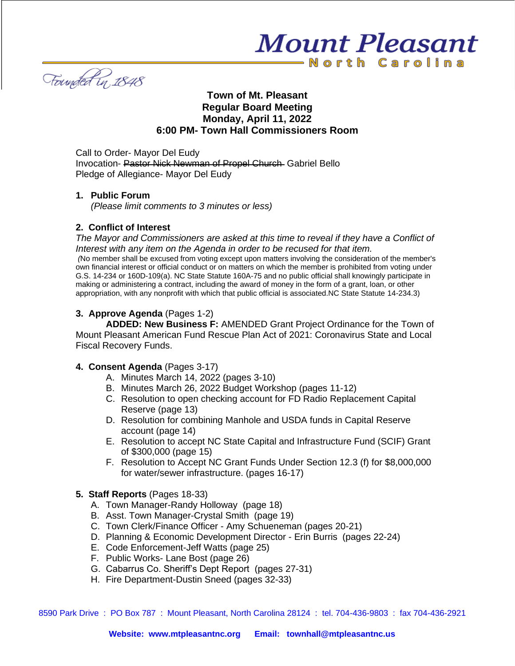Founded in 1848

# **Town of Mt. Pleasant Regular Board Meeting Monday, April 11, 2022 6:00 PM- Town Hall Commissioners Room**

**Mount Pleasant** 

-North Carolina

Call to Order- Mayor Del Eudy Invocation- Pastor Nick Newman of Propel Church Gabriel Bello Pledge of Allegiance- Mayor Del Eudy

#### **1. Public Forum**

*(Please limit comments to 3 minutes or less)*

## **2. Conflict of Interest**

*The Mayor and Commissioners are asked at this time to reveal if they have a Conflict of Interest with any item on the Agenda in order to be recused for that item. (*No member shall be excused from voting except upon matters involving the consideration of the member's own financial interest or official conduct or on matters on which the member is prohibited from voting under G.S. 14-234 or 160D-109(a). NC State Statute 160A-75 and no public official shall knowingly participate in making or administering a contract, including the award of money in the form of a grant, loan, or other appropriation, with any nonprofit with which that public official is associated.NC State Statute 14-234.3)

## **3. Approve Agenda** (Pages 1-2)

**ADDED: New Business F:** AMENDED Grant Project Ordinance for the Town of Mount Pleasant American Fund Rescue Plan Act of 2021: Coronavirus State and Local Fiscal Recovery Funds.

#### **4. Consent Agenda** (Pages 3-17)

- A. Minutes March 14, 2022 (pages 3-10)
- B. Minutes March 26, 2022 Budget Workshop (pages 11-12)
- C. Resolution to open checking account for FD Radio Replacement Capital Reserve (page 13)
- D. Resolution for combining Manhole and USDA funds in Capital Reserve account (page 14)
- E. Resolution to accept NC State Capital and Infrastructure Fund (SCIF) Grant of \$300,000 (page 15)
- F. Resolution to Accept NC Grant Funds Under Section 12.3 (f) for \$8,000,000 for water/sewer infrastructure. (pages 16-17)

## **5. Staff Reports** (Pages 18-33)

- A. Town Manager-Randy Holloway (page 18)
- B. Asst. Town Manager-Crystal Smith (page 19)
- C. Town Clerk/Finance Officer Amy Schueneman (pages 20-21)
- D. Planning & Economic Development Director Erin Burris (pages 22-24)
- E. Code Enforcement-Jeff Watts (page 25)
- F. Public Works- Lane Bost (page 26)
- G. Cabarrus Co. Sheriff's Dept Report (pages 27-31)
- H. Fire Department-Dustin Sneed (pages 32-33)

8590 Park Drive : PO Box 787 : Mount Pleasant, North Carolina 28124 : tel. 704-436-9803 : fax 704-436-2921